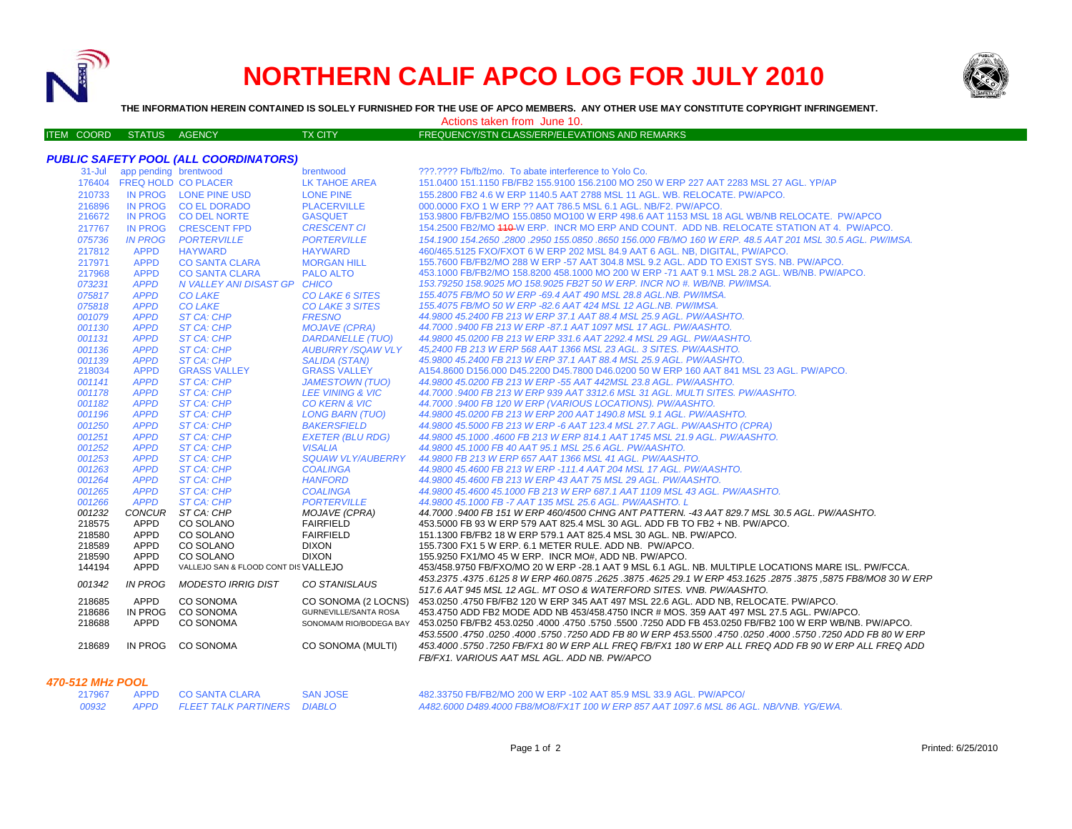

# **NORTHERN CALIF APCO LOG FOR JULY 2010**



**THE INFORMATION HEREIN CONTAINED IS SOLELY FURNISHED FOR THE USE OF APCO MEMBERS. ANY OTHER USE MAY CONSTITUTE COPYRIGHT INFRINGEMENT.**

Actions taken from June 10.

| <b>FREQUENCY/STN CLASS/ERP/ELEVATIONS AND REMARKS</b><br><b>ITEM COORD STATUS AGENCY</b><br>TX CITY |  |
|-----------------------------------------------------------------------------------------------------|--|
|-----------------------------------------------------------------------------------------------------|--|

|                  |                              | <b>PUBLIC SAFETY POOL (ALL COORDINATORS)</b>      |                                                     |                                                                                                                                                                                  |
|------------------|------------------------------|---------------------------------------------------|-----------------------------------------------------|----------------------------------------------------------------------------------------------------------------------------------------------------------------------------------|
|                  | 31-Jul app pending brentwood |                                                   | brentwood                                           | ???.???? Fb/fb2/mo. To abate interference to Yolo Co.                                                                                                                            |
|                  | 176404 FREQ HOLD CO PLACER   |                                                   | LK TAHOE AREA                                       | 151.0400 151.1150 FB/FB2 155.9100 156.2100 MO 250 W ERP 227 AAT 2283 MSL 27 AGL. YP/AP                                                                                           |
| 210733           |                              | IN PROG LONE PINE USD                             | <b>LONE PINE</b>                                    | 155,2800 FB2 4.6 W ERP 1140.5 AAT 2788 MSL 11 AGL, WB, RELOCATE, PW/APCO,                                                                                                        |
| 216896           |                              | IN PROG CO EL DORADO                              | <b>PLACERVILLE</b>                                  | 000,0000 FXO 1 W ERP ?? AAT 786.5 MSL 6.1 AGL, NB/F2, PW/APCO.                                                                                                                   |
| 216672           |                              | IN PROG CO DEL NORTE                              | <b>GASQUET</b>                                      | 153,9800 FB/FB2/MO 155,0850 MO100 W ERP 498.6 AAT 1153 MSL 18 AGL WB/NB RELOCATE. PW/APCO                                                                                        |
| 217767           | <b>IN PROG</b>               | <b>CRESCENT FPD</b>                               | <b>CRESCENT CI</b>                                  | 154.2500 FB2/MO 440-W ERP. INCR MO ERP AND COUNT. ADD NB. RELOCATE STATION AT 4. PW/APCO.                                                                                        |
| 075736           | <b>IN PROG</b>               | <b>PORTERVILLE</b>                                | <b>PORTERVILLE</b>                                  | 154.1900 154.2650 .2800 .2950 155.0850 .8650 156.000 FB/MO 160 W ERP. 48.5 AAT 201 MSL 30.5 AGL. PW/IMSA.                                                                        |
| 217812           | <b>APPD</b>                  | <b>HAYWARD</b>                                    | <b>HAYWARD</b>                                      | 460/465.5125 FXO/FXOT 6 W ERP 202 MSL 84.9 AAT 6 AGL, NB, DIGITAL, PW/APCO,                                                                                                      |
| 217971           | <b>APPD</b>                  | <b>CO SANTA CLARA</b>                             | <b>MORGAN HILL</b>                                  | 155,7600 FB/FB2/MO 288 W ERP -57 AAT 304.8 MSL 9.2 AGL, ADD TO EXIST SYS, NB, PW/APCO,                                                                                           |
| 217968           | <b>APPD</b>                  | <b>CO SANTA CLARA</b>                             | <b>PALO ALTO</b>                                    | 453.1000 FB/FB2/MO 158.8200 458.1000 MO 200 W ERP -71 AAT 9.1 MSL 28.2 AGL, WB/NB, PW/APCO,                                                                                      |
| 073231           | <b>APPD</b>                  | N VALLEY ANI DISAST GP CHICO                      |                                                     | 153.79250 158.9025 MO 158.9025 FB2T 50 W ERP. INCR NO #, WB/NB, PW/IMSA,                                                                                                         |
| 075817           | <b>APPD</b>                  | <b>CO LAKE</b>                                    | CO LAKE 6 SITES                                     | 155.4075 FB/MO 50 W ERP -69.4 AAT 490 MSL 28.8 AGL.NB. PW/IMSA.                                                                                                                  |
| 075818           | <b>APPD</b>                  | <b>CO LAKE</b>                                    | <b>CO LAKE 3 SITES</b>                              | 155.4075 FB/MO 50 W ERP -82.6 AAT 424 MSL 12 AGL.NB. PW/IMSA.                                                                                                                    |
| 001079           | <b>APPD</b>                  | ST CA: CHP                                        | <b>FRESNO</b>                                       | 44.9800 45.2400 FB 213 W ERP 37.1 AAT 88.4 MSL 25.9 AGL, PW/AASHTO.                                                                                                              |
| 001130           | <b>APPD</b>                  | ST CA: CHP                                        | <b>MOJAVE (CPRA)</b>                                | 44.7000 .9400 FB 213 W ERP -87.1 AAT 1097 MSL 17 AGL, PW/AASHTO.                                                                                                                 |
| 001131           | <b>APPD</b>                  | <b>ST CA: CHP</b>                                 | <b>DARDANELLE (TUO)</b>                             | 44,9800 45,0200 FB 213 W ERP 331.6 AAT 2292.4 MSL 29 AGL, PW/AASHTO.                                                                                                             |
| 001136           | <b>APPD</b>                  | ST CA: CHP                                        | <b>AUBURRY/SQAW VLY</b>                             | 45.2400 FB 213 W ERP 568 AAT 1366 MSL 23 AGL, 3 SITES, PW/AASHTO,                                                                                                                |
| 001139           | <b>APPD</b>                  | ST CA: CHP                                        | <b>SALIDA (STAN)</b>                                | 45.9800 45.2400 FB 213 W ERP 37.1 AAT 88.4 MSL 25.9 AGL, PW/AASHTO.                                                                                                              |
| 218034           | <b>APPD</b>                  | <b>GRASS VALLEY</b>                               | <b>GRASS VALLEY</b>                                 | A154.8600 D156.000 D45.2200 D45.7800 D46.0200 50 W ERP 160 AAT 841 MSL 23 AGL. PW/APCO.                                                                                          |
| 001141           | <b>APPD</b>                  | ST CA: CHP                                        | <b>JAMESTOWN (TUO)</b>                              | 44.9800 45.0200 FB 213 W ERP -55 AAT 442MSL 23.8 AGL, PW/AASHTO.                                                                                                                 |
| 001178           | <b>APPD</b>                  | ST CA: CHP                                        | <b>LEE VINING &amp; VIC</b>                         | 44,7000 .9400 FB 213 W ERP 939 AAT 3312.6 MSL 31 AGL, MULTI SITES, PW/AASHTO,                                                                                                    |
| 001182           | <b>APPD</b>                  | <b>ST CA: CHP</b>                                 | <b>CO KERN &amp; VIC</b>                            | 44.7000 .9400 FB 120 W ERP (VARIOUS LOCATIONS). PW/AASHTO.                                                                                                                       |
| 001196           | <b>APPD</b>                  | ST CA: CHP                                        | <b>LONG BARN (TUO)</b>                              | 44.9800 45.0200 FB 213 W ERP 200 AAT 1490.8 MSL 9.1 AGL. PW/AASHTO.                                                                                                              |
| 001250           | <b>APPD</b>                  | ST CA: CHP                                        | <b>BAKERSFIELD</b>                                  | 44.9800 45.5000 FB 213 W ERP -6 AAT 123.4 MSL 27.7 AGL. PW/AASHTO (CPRA)                                                                                                         |
| 001251           | <b>APPD</b>                  | ST CA: CHP                                        | <b>EXETER (BLU RDG)</b>                             | 44.9800 45.1000 .4600 FB 213 W ERP 814.1 AAT 1745 MSL 21.9 AGL. PW/AASHTO.                                                                                                       |
| 001252           | <b>APPD</b>                  | ST CA: CHP                                        | <b>VISALIA</b>                                      | 44.9800 45.1000 FB 40 AAT 95.1 MSL 25.6 AGL, PW/AASHTO.                                                                                                                          |
| 001253           | <b>APPD</b>                  | <b>ST CA: CHP</b>                                 |                                                     | SQUAW VLY/AUBERRY 44.9800 FB 213 W ERP 657 AAT 1366 MSL 41 AGL. PW/AASHTO.                                                                                                       |
| 001263           | <b>APPD</b>                  | <b>ST CA: CHP</b>                                 | <b>COALINGA</b>                                     | 44.9800 45.4600 FB 213 W ERP -111.4 AAT 204 MSL 17 AGL. PW/AASHTO.                                                                                                               |
| 001264           | <b>APPD</b>                  | <b>ST CA: CHP</b>                                 | <b>HANFORD</b>                                      | 44.9800 45.4600 FB 213 W ERP 43 AAT 75 MSL 29 AGL. PW/AASHTO.                                                                                                                    |
| 001265           | <b>APPD</b>                  | <b>ST CA: CHP</b>                                 | <b>COALINGA</b>                                     | 44.9800 45.4600 45.1000 FB 213 W ERP 687.1 AAT 1109 MSL 43 AGL. PW/AASHTO.                                                                                                       |
| 001266           | <b>APPD</b>                  | ST CA: CHP                                        | <b>PORTERVILLE</b>                                  | 44.9800 45.1000 FB -7 AAT 135 MSL 25.6 AGL. PW/AASHTO. L                                                                                                                         |
| 001232           | <b>CONCUR</b>                | ST CA: CHP                                        | <b>MOJAVE (CPRA)</b>                                | 44.7000 .9400 FB 151 W ERP 460/4500 CHNG ANT PATTERN. -43 AAT 829.7 MSL 30.5 AGL. PW/AASHTO.                                                                                     |
| 218575           | APPD                         | CO SOLANO                                         | <b>FAIRFIELD</b>                                    | 453.5000 FB 93 W ERP 579 AAT 825.4 MSL 30 AGL. ADD FB TO FB2 + NB. PW/APCO.                                                                                                      |
| 218580           | <b>APPD</b>                  | CO SOLANO                                         | <b>FAIRFIELD</b>                                    | 151.1300 FB/FB2 18 W ERP 579.1 AAT 825.4 MSL 30 AGL. NB. PW/APCO.                                                                                                                |
| 218589           | <b>APPD</b>                  | CO SOLANO                                         | <b>DIXON</b>                                        | 155.7300 FX1 5 W ERP. 6.1 METER RULE. ADD NB. PW/APCO.                                                                                                                           |
| 218590<br>144194 | <b>APPD</b><br>APPD          | CO SOLANO<br>VALLEJO SAN & FLOOD CONT DIS VALLEJO | <b>DIXON</b>                                        | 155.9250 FX1/MO 45 W ERP. INCR MO#, ADD NB. PW/APCO.<br>453/458.9750 FB/FXO/MO 20 W ERP -28.1 AAT 9 MSL 6.1 AGL. NB. MULTIPLE LOCATIONS MARE ISL. PW/FCCA.                       |
|                  |                              |                                                   |                                                     | 453.2375 .4375 .6125 8 W ERP 460.0875 .2625 .3875 .4625 29.1 W ERP 453.1625 .2875 .3875 .5875 FB8/MO8 30 W ERP                                                                   |
| 001342           | <b>IN PROG</b>               | <b>MODESTO IRRIG DIST</b>                         | CO STANISLAUS                                       |                                                                                                                                                                                  |
|                  |                              |                                                   |                                                     | 517.6 AAT 945 MSL 12 AGL. MT OSO & WATERFORD SITES. VNB. PW/AASHTO.                                                                                                              |
| 218685<br>218686 | APPD<br><b>IN PROG</b>       | <b>CO SONOMA</b><br>CO SONOMA                     | CO SONOMA (2 LOCNS)<br><b>GURNEVILLE/SANTA ROSA</b> | 453.0250 .4750 FB/FB2 120 W ERP 345 AAT 497 MSL 22.6 AGL, ADD NB, RELOCATE, PW/APCO,<br>453.4750 ADD FB2 MODE ADD NB 453/458.4750 INCR # MOS. 359 AAT 497 MSL 27.5 AGL. PW/APCO. |
| 218688           | APPD                         | CO SONOMA                                         |                                                     |                                                                                                                                                                                  |
|                  |                              |                                                   |                                                     | SONOMA/M RIO/BODEGA BAY 453.0250 FB/FB2 453.0250 .4000 .4750 .5750 .5500 .7250 ADD FB 453.0250 FB/FB2 100 W ERP WB/NB. PW/APCO.                                                  |
|                  |                              |                                                   |                                                     | 453.5500 .4750 .0250 ADD FB 80 W ERP 453.5500 .4750 .0250 .0250 .5750 .5750 .0250 .0250 .0250 .0250 .                                                                            |
| 218689           | IN PROG                      | CO SONOMA                                         | CO SONOMA (MULTI)                                   | 453.4000 .5750 .7250 FB/FX1 80 W ERP ALL FREQ FB/FX1 180 W ERP ALL FREQ ADD FB 90 W ERP ALL FREQ ADD<br>FB/FX1. VARIOUS AAT MSL AGL. ADD NB. PW/APCO                             |

#### *470-512 MHz POOL*

| 217967 | <b>APPD</b> | CO SANTA CLARA       | SAN JOSE |
|--------|-------------|----------------------|----------|
| 00932  | <i>APPD</i> | FLEET TALK PARTINERS | DIABI O  |

 482.33750 FB/FB2/MO 200 W ERP -102 AAT 85.9 MSL 33.9 AGL. PW/APCO/ *A482.6000 D489.4000 FB8/MO8/FX1T 100 W ERP 857 AAT 1097.6 MSL 86 AGL. NB/VNB. YG/EWA.*